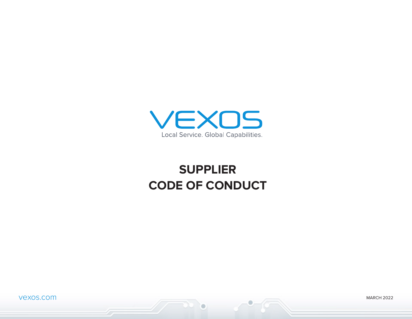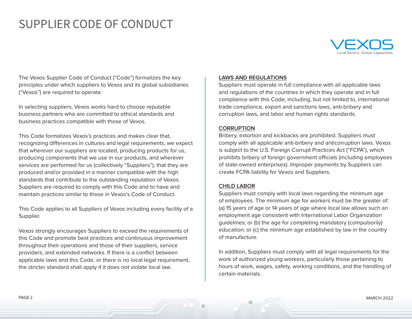

The Vexos Supplier Code of Conduct ("Code") formalizes the key principles under which suppliers to Vexos and its global subsidiaries ("Vexos") are required to operate.

In selecting suppliers, Vexos works hard to choose reputable business partners who are committed to ethical standards and business practices compatible with those of Vexos.

This Code formalizes Vexos's practices and makes clear that, recognizing differences in cultures and legal requirements, we expect that wherever our suppliers are located, producing products for us, producing components that we use in our products, and wherever services are performed for us (collectively "Suppliers"), that they are produced and/or provided in a manner compatible with the high standards that contribute to the outstanding reputation of Vexos. Suppliers are required to comply with this Code and to have and maintain practices similar to those in Vexos's Code of Conduct.

This Code applies to all Suppliers of Vexos including every facility of a Supplier.

Vexos strongly encourages Suppliers to exceed the requirements of this Code and promote best practices and continuous improvement throughout their operations and those of their suppliers, service providers, and extended networks. If there is a conflict between applicable laws and this Code, or there is no local legal requirement, the stricter standard shall apply if it does not violate local law.

# **LAWS AND REGULATIONS**

Suppliers must operate in full compliance with all applicable laws and regulations of the countries in which they operate and in full compliance with this Code, including, but not limited to, international trade compliance, export and sanctions laws, anti-bribery and corruption laws, and labor and human rights standards.

## **CORRUPTION**

Bribery, extortion and kickbacks are prohibited. Suppliers must comply with all applicable anti-bribery and anticorruption laws. Vexos is subject to the U.S. Foreign Corrupt Practices Act ("FCPA"), which prohibits bribery of foreign government officials (including employees of state-owned enterprises). Improper payments by Suppliers can create FCPA liability for Vexos and Suppliers.

## **CHILD LABOR**

Suppliers must comply with local laws regarding the minimum age of employees. The minimum age for workers must be the greater of: (a) 15 years of age or 14 years of age where local law allows such an employment age consistent with International Labor Organization guidelines; or (b) the age for completing mandatory (compulsorily) education; or (c) the minimum age established by law in the country of manufacture.

In addition, Suppliers must comply with all legal requirements for the work of authorized young workers, particularly those pertaining to hours of work, wages, safety, working conditions, and the handling of certain materials.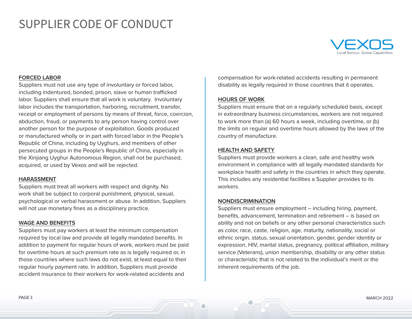

## **FORCED LABOR**

Suppliers must not use any type of involuntary or forced labor, including indentured, bonded, prison, slave or human trafficked labor. Suppliers shall ensure that all work is voluntary. Involuntary labor includes the transportation, harboring, recruitment, transfer, receipt or employment of persons by means of threat, force, coercion, abduction, fraud, or payments to any person having control over another person for the purpose of exploitation. Goods produced or manufactured wholly or in part with forced labor in the People's Republic of China, including by Uyghurs, and members of other persecuted groups in the People's Republic of China, especially in the Xinjiang Uyghur Autonomous Region, shall not be purchased, acquired, or used by Vexos and will be rejected.

#### **HARASSMENT**

Suppliers must treat all workers with respect and dignity. No work shall be subject to corporal punishment, physical, sexual, psychological or verbal harassment or abuse. In addition, Suppliers will not use monetary fines as a disciplinary practice.

#### **WAGE AND BENEFITS**

Suppliers must pay workers at least the minimum compensation required by local law and provide all legally mandated benefits. In addition to payment for regular hours of work, workers must be paid for overtime hours at such premium rate as is legally required or, in those countries where such laws do not exist, at least equal to their regular hourly payment rate. In addition, Suppliers must provide accident insurance to their workers for work-related accidents and

compensation for work-related accidents resulting in permanent disability as legally required in those countries that it operates.

### **HOURS OF WORK**

Suppliers must ensure that on a regularly scheduled basis, except in extraordinary business circumstances, workers are not required to work more than (a) 60 hours a week, including overtime, or (b) the limits on regular and overtime hours allowed by the laws of the country of manufacture.

#### **HEALTH AND SAFETY**

Suppliers must provide workers a clean, safe and healthy work environment in compliance with all legally mandated standards for workplace health and safety in the countries in which they operate. This includes any residential facilities a Supplier provides to its workers.

### **NONDISCRIMINATION**

Suppliers must ensure employment – including hiring, payment, benefits, advancement, termination and retirement – is based on ability and not on beliefs or any other personal characteristics such as color, race, caste, religion, age, maturity, nationality, social or ethnic origin, status, sexual orientation, gender, gender identity or expression, HIV, marital status, pregnancy, political affiliation, military service (Veterans), union membership, disability or any other status or characteristic that is not related to the individual's merit or the inherent requirements of the job.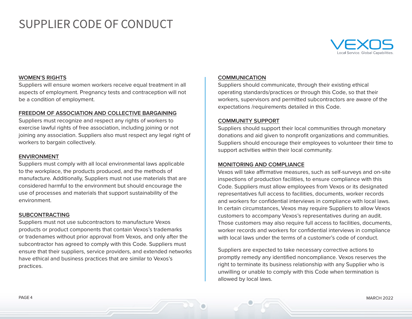

## **WOMEN'S RIGHTS**

Suppliers will ensure women workers receive equal treatment in all aspects of employment. Pregnancy tests and contraception will not be a condition of employment.

## **FREEDOM OF ASSOCIATION AND COLLECTIVE BARGAINING**

Suppliers must recognize and respect any rights of workers to exercise lawful rights of free association, including joining or not joining any association. Suppliers also must respect any legal right of workers to bargain collectively.

#### **ENVIRONMENT**

Suppliers must comply with all local environmental laws applicable to the workplace, the products produced, and the methods of manufacture. Additionally, Suppliers must not use materials that are considered harmful to the environment but should encourage the use of processes and materials that support sustainability of the environment.

#### **SUBCONTRACTING**

Suppliers must not use subcontractors to manufacture Vexos products or product components that contain Vexos's trademarks or tradenames without prior approval from Vexos, and only after the subcontractor has agreed to comply with this Code. Suppliers must ensure that their suppliers, service providers, and extended networks have ethical and business practices that are similar to Vexos's practices.

### **COMMUNICATION**

Suppliers should communicate, through their existing ethical operating standards/practices or through this Code, so that their workers, supervisors and permitted subcontractors are aware of the expectations /requirements detailed in this Code.

## **COMMUNITY SUPPORT**

Suppliers should support their local communities through monetary donations and aid given to nonprofit organizations and communities. Suppliers should encourage their employees to volunteer their time to support activities within their local community.

### **MONITORING AND COMPLIANCE**

Vexos will take affirmative measures, such as self-surveys and on-site inspections of production facilities, to ensure compliance with this Code. Suppliers must allow employees from Vexos or its designated representatives full access to facilities, documents, worker records and workers for confidential interviews in compliance with local laws. In certain circumstances, Vexos may require Suppliers to allow Vexos customers to accompany Vexos's representatives during an audit. Those customers may also require full access to facilities, documents, worker records and workers for confidential interviews in compliance with local laws under the terms of a customer's code of conduct.

Suppliers are expected to take necessary corrective actions to promptly remedy any identified noncompliance. Vexos reserves the right to terminate its business relationship with any Supplier who is unwilling or unable to comply with this Code when termination is allowed by local laws.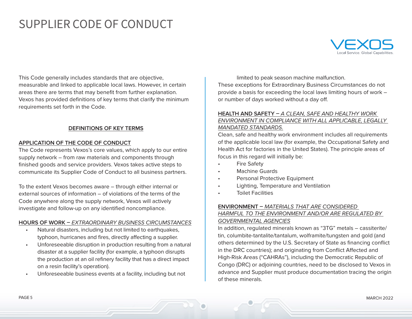

This Code generally includes standards that are objective, measurable and linked to applicable local laws. However, in certain areas there are terms that may benefit from further explanation. Vexos has provided definitions of key terms that clarify the minimum requirements set forth in the Code.

## **DEFINITIONS OF KEY TERMS**

## **APPLICATION OF THE CODE OF CONDUCT**

The Code represents Vexos's core values, which apply to our entire supply network – from raw materials and components through finished goods and service providers. Vexos takes active steps to communicate its Supplier Code of Conduct to all business partners.

To the extent Vexos becomes aware – through either internal or external sources of information – of violations of the terms of the Code anywhere along the supply network, Vexos will actively investigate and follow-up on any identified noncompliance.

### **HOURS OF WORK –** *EXTRAORDINARY BUSINESS CIRCUMSTANCES*

- Natural disasters, including but not limited to earthquakes, typhoon, hurricanes and fires, directly affecting a supplier.
- Unforeseeable disruption in production resulting from a natural disaster at a supplier facility (for example, a typhoon disrupts the production at an oil refinery facility that has a direct impact on a resin facility's operation).
- Unforeseeable business events at a facility, including but not

limited to peak season machine malfunction. These exceptions for Extraordinary Business Circumstances do not provide a basis for exceeding the local laws limiting hours of work – or number of days worked without a day off.

# **HEALTH AND SAFETY –** *A CLEAN, SAFE AND HEALTHY WORK ENVIRONMENT IN COMPLIANCE WITH ALL APPLICABLE, LEGALLY MANDATED STANDARDS.*

Clean, safe and healthy work environment includes all requirements of the applicable local law (for example, the Occupational Safety and Health Act for factories in the United States). The principle areas of focus in this regard will initially be:

- **Fire Safety**
- Machine Guards
- Personal Protective Equipment
- Lighting, Temperature and Ventilation
- Toilet Facilities

# **ENVIRONMENT –** *MATERIALS THAT ARE CONSIDERED*

# *HARMFUL TO THE ENVIRONMENT AND/OR ARE REGULATED BY GOVERNMENTAL AGENCIES*

In addition, regulated minerals known as "3TG" metals – cassiterite/ tin, columbite-tantalite/tantalum, wolframite/tungsten and gold (and others determined by the U.S. Secretary of State as financing conflict in the DRC countries); and originating from Conflict Affected and High-Risk Areas ("CAHRAs"), including the Democratic Republic of Congo (DRC) or adjoining countries, need to be disclosed to Vexos in advance and Supplier must produce documentation tracing the origin of these minerals.